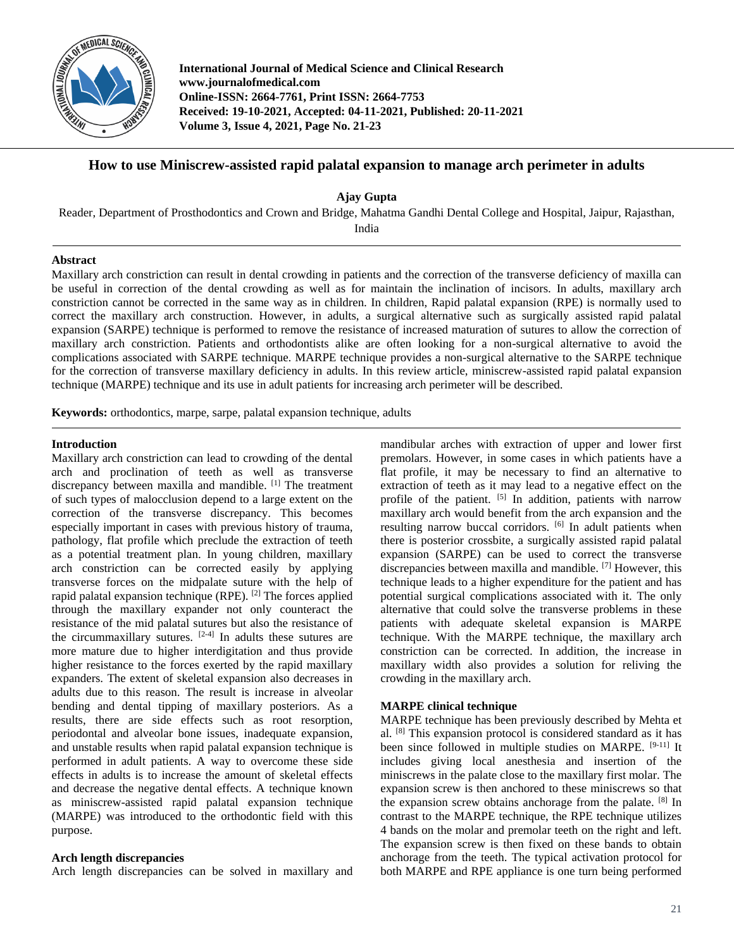

**International Journal of Medical Science and Clinical Research www.journalofmedical.com Online-ISSN: 2664-7761, Print ISSN: 2664-7753 Received: 19-10-2021, Accepted: 04-11-2021, Published: 20-11-2021 Volume 3, Issue 4, 2021, Page No. 21-23**

# **How to use Miniscrew-assisted rapid palatal expansion to manage arch perimeter in adults**

**Ajay Gupta**

Reader, Department of Prosthodontics and Crown and Bridge, Mahatma Gandhi Dental College and Hospital, Jaipur, Rajasthan,

India

## **Abstract**

Maxillary arch constriction can result in dental crowding in patients and the correction of the transverse deficiency of maxilla can be useful in correction of the dental crowding as well as for maintain the inclination of incisors. In adults, maxillary arch constriction cannot be corrected in the same way as in children. In children, Rapid palatal expansion (RPE) is normally used to correct the maxillary arch construction. However, in adults, a surgical alternative such as surgically assisted rapid palatal expansion (SARPE) technique is performed to remove the resistance of increased maturation of sutures to allow the correction of maxillary arch constriction. Patients and orthodontists alike are often looking for a non-surgical alternative to avoid the complications associated with SARPE technique. MARPE technique provides a non-surgical alternative to the SARPE technique for the correction of transverse maxillary deficiency in adults. In this review article, miniscrew-assisted rapid palatal expansion technique (MARPE) technique and its use in adult patients for increasing arch perimeter will be described.

**Keywords:** orthodontics, marpe, sarpe, palatal expansion technique, adults

## **Introduction**

Maxillary arch constriction can lead to crowding of the dental arch and proclination of teeth as well as transverse discrepancy between maxilla and mandible. [1] The treatment of such types of malocclusion depend to a large extent on the correction of the transverse discrepancy. This becomes especially important in cases with previous history of trauma, pathology, flat profile which preclude the extraction of teeth as a potential treatment plan. In young children, maxillary arch constriction can be corrected easily by applying transverse forces on the midpalate suture with the help of rapid palatal expansion technique (RPE).  $[2]$  The forces applied through the maxillary expander not only counteract the resistance of the mid palatal sutures but also the resistance of the circummaxillary sutures.  $[2-4]$  In adults these sutures are more mature due to higher interdigitation and thus provide higher resistance to the forces exerted by the rapid maxillary expanders. The extent of skeletal expansion also decreases in adults due to this reason. The result is increase in alveolar bending and dental tipping of maxillary posteriors. As a results, there are side effects such as root resorption, periodontal and alveolar bone issues, inadequate expansion, and unstable results when rapid palatal expansion technique is performed in adult patients. A way to overcome these side effects in adults is to increase the amount of skeletal effects and decrease the negative dental effects. A technique known as miniscrew-assisted rapid palatal expansion technique (MARPE) was introduced to the orthodontic field with this purpose.

# **Arch length discrepancies**

Arch length discrepancies can be solved in maxillary and

mandibular arches with extraction of upper and lower first premolars. However, in some cases in which patients have a flat profile, it may be necessary to find an alternative to extraction of teeth as it may lead to a negative effect on the profile of the patient. [5] In addition, patients with narrow maxillary arch would benefit from the arch expansion and the resulting narrow buccal corridors. <sup>[6]</sup> In adult patients when there is posterior crossbite, a surgically assisted rapid palatal expansion (SARPE) can be used to correct the transverse discrepancies between maxilla and mandible. [7] However, this technique leads to a higher expenditure for the patient and has potential surgical complications associated with it. The only alternative that could solve the transverse problems in these patients with adequate skeletal expansion is MARPE technique. With the MARPE technique, the maxillary arch constriction can be corrected. In addition, the increase in maxillary width also provides a solution for reliving the crowding in the maxillary arch.

## **MARPE clinical technique**

MARPE technique has been previously described by Mehta et al.  $[8]$  This expansion protocol is considered standard as it has been since followed in multiple studies on MARPE. [9-11] It includes giving local anesthesia and insertion of the miniscrews in the palate close to the maxillary first molar. The expansion screw is then anchored to these miniscrews so that the expansion screw obtains anchorage from the palate. <sup>[8]</sup> In contrast to the MARPE technique, the RPE technique utilizes 4 bands on the molar and premolar teeth on the right and left. The expansion screw is then fixed on these bands to obtain anchorage from the teeth. The typical activation protocol for both MARPE and RPE appliance is one turn being performed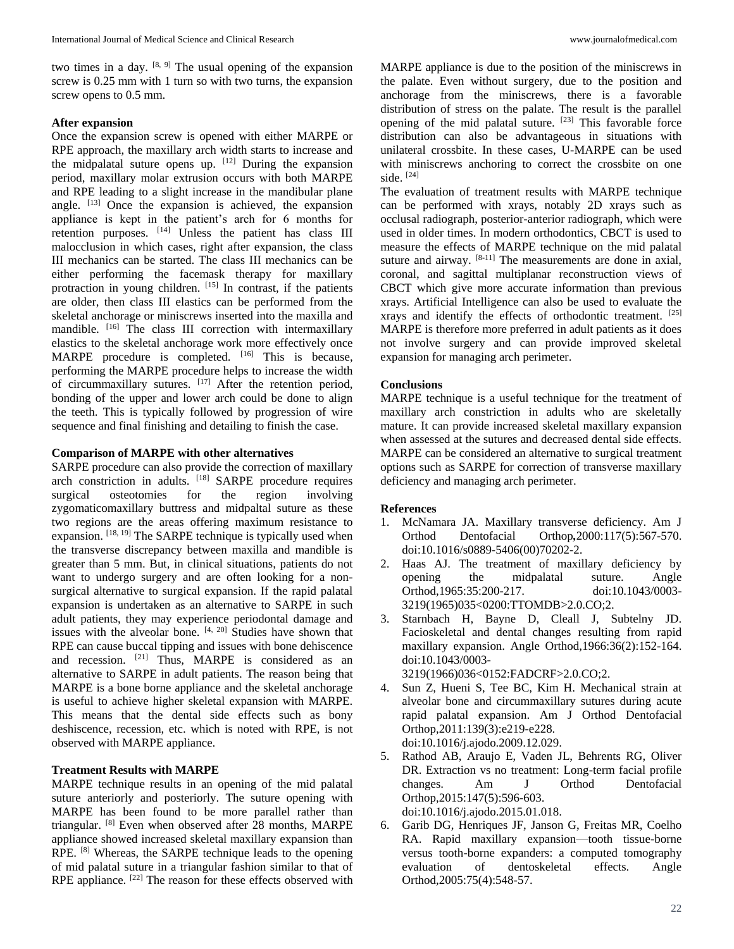two times in a day.  $[8, 9]$  The usual opening of the expansion screw is 0.25 mm with 1 turn so with two turns, the expansion screw opens to 0.5 mm.

#### **After expansion**

Once the expansion screw is opened with either MARPE or RPE approach, the maxillary arch width starts to increase and the midpalatal suture opens up.  $[12]$  During the expansion period, maxillary molar extrusion occurs with both MARPE and RPE leading to a slight increase in the mandibular plane angle. [13] Once the expansion is achieved, the expansion appliance is kept in the patient's arch for 6 months for retention purposes. [14] Unless the patient has class III malocclusion in which cases, right after expansion, the class III mechanics can be started. The class III mechanics can be either performing the facemask therapy for maxillary protraction in young children. [15] In contrast, if the patients are older, then class III elastics can be performed from the skeletal anchorage or miniscrews inserted into the maxilla and mandible. <sup>[16]</sup> The class III correction with intermaxillary elastics to the skeletal anchorage work more effectively once MARPE procedure is completed. [16] This is because, performing the MARPE procedure helps to increase the width of circummaxillary sutures. [17] After the retention period, bonding of the upper and lower arch could be done to align the teeth. This is typically followed by progression of wire sequence and final finishing and detailing to finish the case.

## **Comparison of MARPE with other alternatives**

SARPE procedure can also provide the correction of maxillary arch constriction in adults. [18] SARPE procedure requires surgical osteotomies for the region involving zygomaticomaxillary buttress and midpaltal suture as these two regions are the areas offering maximum resistance to expansion.  $[18, 19]$  The SARPE technique is typically used when the transverse discrepancy between maxilla and mandible is greater than 5 mm. But, in clinical situations, patients do not want to undergo surgery and are often looking for a nonsurgical alternative to surgical expansion. If the rapid palatal expansion is undertaken as an alternative to SARPE in such adult patients, they may experience periodontal damage and issues with the alveolar bone.  $[4, 20]$  Studies have shown that RPE can cause buccal tipping and issues with bone dehiscence and recession. <sup>[21]</sup> Thus, MARPE is considered as an alternative to SARPE in adult patients. The reason being that MARPE is a bone borne appliance and the skeletal anchorage is useful to achieve higher skeletal expansion with MARPE. This means that the dental side effects such as bony deshiscence, recession, etc. which is noted with RPE, is not observed with MARPE appliance.

# **Treatment Results with MARPE**

MARPE technique results in an opening of the mid palatal suture anteriorly and posteriorly. The suture opening with MARPE has been found to be more parallel rather than triangular. [8] Even when observed after 28 months, MARPE appliance showed increased skeletal maxillary expansion than RPE. [8] Whereas, the SARPE technique leads to the opening of mid palatal suture in a triangular fashion similar to that of RPE appliance. <sup>[22]</sup> The reason for these effects observed with

MARPE appliance is due to the position of the miniscrews in the palate. Even without surgery, due to the position and anchorage from the miniscrews, there is a favorable distribution of stress on the palate. The result is the parallel opening of the mid palatal suture.  $[23]$  This favorable force distribution can also be advantageous in situations with unilateral crossbite. In these cases, U-MARPE can be used with miniscrews anchoring to correct the crossbite on one side.  $[24]$ 

The evaluation of treatment results with MARPE technique can be performed with xrays, notably 2D xrays such as occlusal radiograph, posterior-anterior radiograph, which were used in older times. In modern orthodontics, CBCT is used to measure the effects of MARPE technique on the mid palatal suture and airway.  $[8-11]$  The measurements are done in axial, coronal, and sagittal multiplanar reconstruction views of CBCT which give more accurate information than previous xrays. Artificial Intelligence can also be used to evaluate the xrays and identify the effects of orthodontic treatment. [25] MARPE is therefore more preferred in adult patients as it does not involve surgery and can provide improved skeletal expansion for managing arch perimeter.

# **Conclusions**

MARPE technique is a useful technique for the treatment of maxillary arch constriction in adults who are skeletally mature. It can provide increased skeletal maxillary expansion when assessed at the sutures and decreased dental side effects. MARPE can be considered an alternative to surgical treatment options such as SARPE for correction of transverse maxillary deficiency and managing arch perimeter.

# **References**

- 1. McNamara JA. Maxillary transverse deficiency. Am J Orthod Dentofacial Orthop*,*2000:117(5):567-570. doi:10.1016/s0889-5406(00)70202-2.
- 2. Haas AJ. The treatment of maxillary deficiency by opening the midpalatal suture. Angle Orthod,1965:35:200-217. doi:10.1043/0003- 3219(1965)035<0200:TTOMDB>2.0.CO;2.
- 3. Starnbach H, Bayne D, Cleall J, Subtelny JD. Facioskeletal and dental changes resulting from rapid maxillary expansion. Angle Orthod,1966:36(2):152-164. doi:10.1043/0003- 3219(1966)036<0152:FADCRF>2.0.CO;2.
- 4. Sun Z, Hueni S, Tee BC, Kim H. Mechanical strain at alveolar bone and circummaxillary sutures during acute rapid palatal expansion. Am J Orthod Dentofacial Orthop,2011:139(3):e219-e228. doi:10.1016/j.ajodo.2009.12.029.
- 5. Rathod AB, Araujo E, Vaden JL, Behrents RG, Oliver DR. Extraction vs no treatment: Long-term facial profile changes. Am J Orthod Dentofacial Orthop,2015:147(5):596-603. doi:10.1016/j.ajodo.2015.01.018.
- 6. Garib DG, Henriques JF, Janson G, Freitas MR, Coelho RA. Rapid maxillary expansion—tooth tissue-borne versus tooth-borne expanders: a computed tomography evaluation of dentoskeletal effects. Angle Orthod,2005:75(4):548-57.